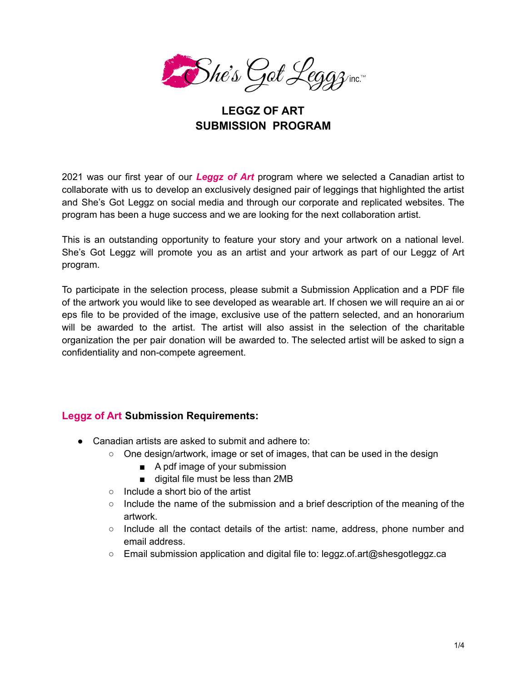

### **LEGGZ OF ART SUBMISSION PROGRAM**

2021 was our first year of our *Leggz of Art* program where we selected a Canadian artist to collaborate with us to develop an exclusively designed pair of leggings that highlighted the artist and She's Got Leggz on social media and through our corporate and replicated websites. The program has been a huge success and we are looking for the next collaboration artist.

This is an outstanding opportunity to feature your story and your artwork on a national level. She's Got Leggz will promote you as an artist and your artwork as part of our Leggz of Art program.

To participate in the selection process, please submit a Submission Application and a PDF file of the artwork you would like to see developed as wearable art. If chosen we will require an ai or eps file to be provided of the image, exclusive use of the pattern selected, and an honorarium will be awarded to the artist. The artist will also assist in the selection of the charitable organization the per pair donation will be awarded to. The selected artist will be asked to sign a confidentiality and non-compete agreement.

#### **Leggz of Art Submission Requirements:**

- Canadian artists are asked to submit and adhere to:
	- $\circ$  One design/artwork, image or set of images, that can be used in the design
		- A pdf image of your submission
		- digital file must be less than 2MB
	- Include a short bio of the artist
	- $\circ$  Include the name of the submission and a brief description of the meaning of the artwork.
	- Include all the contact details of the artist: name, address, phone number and email address.
	- Email submission application and digital file to: leggz.of.art@shesgotleggz.ca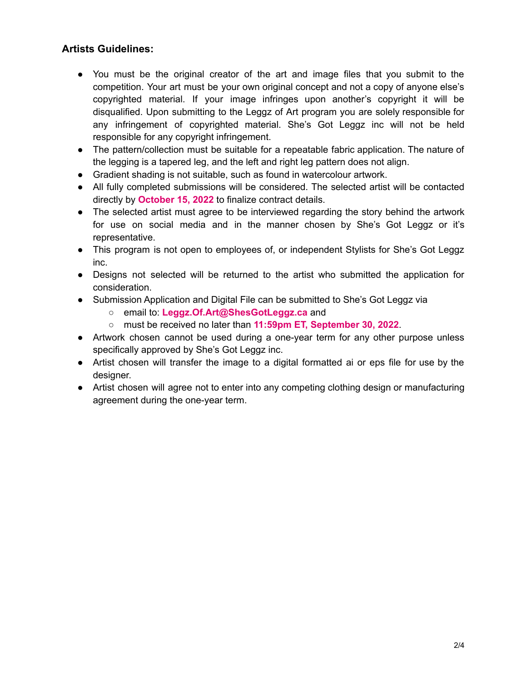### **Artists Guidelines:**

- You must be the original creator of the art and image files that you submit to the competition. Your art must be your own original concept and not a copy of anyone else's copyrighted material. If your image infringes upon another's copyright it will be disqualified. Upon submitting to the Leggz of Art program you are solely responsible for any infringement of copyrighted material. She's Got Leggz inc will not be held responsible for any copyright infringement.
- The pattern/collection must be suitable for a repeatable fabric application. The nature of the legging is a tapered leg, and the left and right leg pattern does not align.
- Gradient shading is not suitable, such as found in watercolour artwork.
- All fully completed submissions will be considered. The selected artist will be contacted directly by **October 15, 2022** to finalize contract details.
- The selected artist must agree to be interviewed regarding the story behind the artwork for use on social media and in the manner chosen by She's Got Leggz or it's representative.
- This program is not open to employees of, or independent Stylists for She's Got Leggz inc.
- Designs not selected will be returned to the artist who submitted the application for consideration.
- Submission Application and Digital File can be submitted to She's Got Leggz via
	- email to: **Leggz.Of.Art@ShesGotLeggz.ca** and
	- must be received no later than **11:59pm ET, September 30, 2022**.
- Artwork chosen cannot be used during a one-year term for any other purpose unless specifically approved by She's Got Leggz inc.
- Artist chosen will transfer the image to a digital formatted ai or eps file for use by the designer.
- Artist chosen will agree not to enter into any competing clothing design or manufacturing agreement during the one-year term.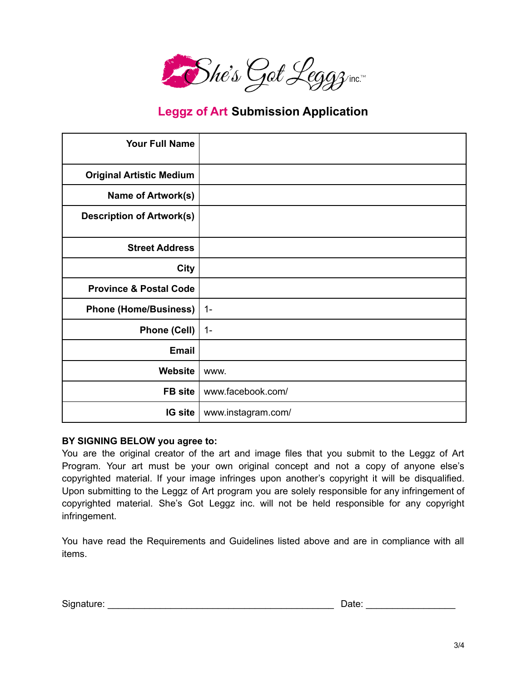

## **Leggz of Art Submission Application**

| <b>Your Full Name</b>             |                    |
|-----------------------------------|--------------------|
| <b>Original Artistic Medium</b>   |                    |
| <b>Name of Artwork(s)</b>         |                    |
| <b>Description of Artwork(s)</b>  |                    |
| <b>Street Address</b>             |                    |
| <b>City</b>                       |                    |
| <b>Province &amp; Postal Code</b> |                    |
| <b>Phone (Home/Business)</b>      | $1 -$              |
| <b>Phone (Cell)</b>               | $1 -$              |
| Email                             |                    |
| Website                           | WWW.               |
| <b>FB</b> site                    | www.facebook.com/  |
| <b>IG site</b>                    | www.instagram.com/ |

#### **BY SIGNING BELOW you agree to:**

You are the original creator of the art and image files that you submit to the Leggz of Art Program. Your art must be your own original concept and not a copy of anyone else's copyrighted material. If your image infringes upon another's copyright it will be disqualified. Upon submitting to the Leggz of Art program you are solely responsible for any infringement of copyrighted material. She's Got Leggz inc. will not be held responsible for any copyright infringement.

You have read the Requirements and Guidelines listed above and are in compliance with all items.